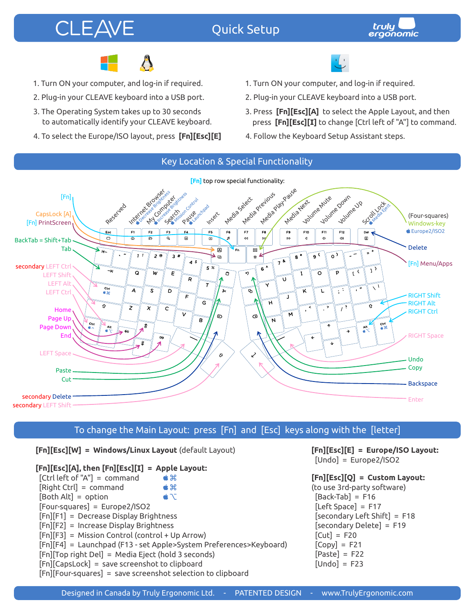# **CLEAVE**

## Quick Setup





- 1. Turn ON your computer, and log-in if required.
- 2. Plug-in your CLEAVE keyboard into a USB port.
- 3. The Operating System takes up to 30 seconds to automatically identify your CLEAVE keyboard.
- 4. To select the Europe/ISO layout, press **[Fn][Esc][E]**
- 
- 1. Turn ON your computer, and log-in if required.
- 2. Plug-in your CLEAVE keyboard into a USB port.
- 3. Press **[Fn][Esc][A]** to select the Apple Layout, and then press **[Fn][Esc][I]** to change [Ctrl left of "A"] to command.
- 4. Follow the Keyboard Setup Assistant steps.



## To change the Main Layout: press [Fn] and [Esc] keys along with the [letter]

**[Fn][Esc][W] = Windows/Linux Layout** (default Layout)

#### **[Fn][Esc][A], then [Fn][Esc][I] = Apple Layout:**

 [Ctrl left of "A"] = command  $##$  [Right Ctrl] = command  $##$  $\triangle$   $\triangle$  $[Both Alt] = option$  [Four-squares] = Europe2/ISO2 [Fn][F1] = Decrease Display Brightness [Fn][F2] = Increase Display Brightness [Fn][F3] = Mission Control (control + Up Arrow) [Fn][F4] = Launchpad (F13 - set Apple>System Preferences>Keyboard) [Fn][Top right Del] = Media Eject (hold 3 seconds) [Fn][CapsLock] = save screenshot to clipboard [Fn][Four-squares] = save screenshot selection to clipboard

**[Fn][Esc][E] = Europe/ISO Layout:** [Undo] = Europe2/ISO2

#### **[Fn][Esc][Q] = Custom Layout:** (to use 3rd-party software)  $[Back-Tab] = F16$  $[Left Space] = F17$  [secondary Left Shift] = F18 [secondary Delete] = F19  $[Cut] = F20$  $[Copy] = F21$  $[Paste] = F22$  $[Undo] = F23$